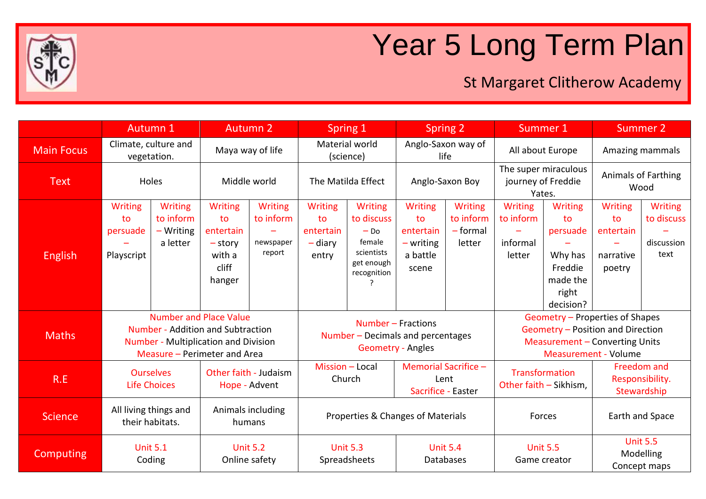

## Year 5 Long Term Plan

## St Margaret Clitherow Academy

|                   | Autumn 1                                                                                                                                                 |                                                | <b>Autumn 2</b>                                                             |                                                                              | Spring 1                                                |                                                                                             | Spring <sub>2</sub>                                                                                                                          |                                                     | Summer 1                                             |                                                                                          | <b>Summer 2</b>                                   |                                                    |
|-------------------|----------------------------------------------------------------------------------------------------------------------------------------------------------|------------------------------------------------|-----------------------------------------------------------------------------|------------------------------------------------------------------------------|---------------------------------------------------------|---------------------------------------------------------------------------------------------|----------------------------------------------------------------------------------------------------------------------------------------------|-----------------------------------------------------|------------------------------------------------------|------------------------------------------------------------------------------------------|---------------------------------------------------|----------------------------------------------------|
| <b>Main Focus</b> | Climate, culture and<br>vegetation.                                                                                                                      |                                                | Maya way of life                                                            |                                                                              | Material world<br>(science)                             |                                                                                             | Anglo-Saxon way of<br>life                                                                                                                   |                                                     | All about Europe                                     |                                                                                          | Amazing mammals                                   |                                                    |
| <b>Text</b>       | Holes                                                                                                                                                    |                                                | Middle world                                                                |                                                                              | The Matilda Effect                                      |                                                                                             | Anglo-Saxon Boy                                                                                                                              |                                                     | The super miraculous<br>journey of Freddie<br>Yates. |                                                                                          | <b>Animals of Farthing</b><br>Wood                |                                                    |
| <b>English</b>    | Writing<br>to<br>persuade<br>Playscript                                                                                                                  | Writing<br>to inform<br>$-Writing$<br>a letter | <b>Writing</b><br>to<br>entertain<br>$-$ story<br>with a<br>cliff<br>hanger | Writing<br>to inform<br>newspaper<br>report                                  | <b>Writing</b><br>to<br>entertain<br>$-$ diary<br>entry | <b>Writing</b><br>to discuss<br>$-$ Do<br>female<br>scientists<br>get enough<br>recognition | <b>Writing</b><br>to<br>entertain<br>$-$ writing<br>a battle<br>scene                                                                        | <b>Writing</b><br>to inform<br>$-$ formal<br>letter | Writing<br>to inform<br>informal<br>letter           | <b>Writing</b><br>to<br>persuade<br>Why has<br>Freddie<br>made the<br>right<br>decision? | Writing<br>to<br>entertain<br>narrative<br>poetry | <b>Writing</b><br>to discuss<br>discussion<br>text |
| <b>Maths</b>      | <b>Number and Place Value</b><br><b>Number - Addition and Subtraction</b><br><b>Number - Multiplication and Division</b><br>Measure - Perimeter and Area |                                                |                                                                             | Number - Fractions<br>Number - Decimals and percentages<br>Geometry - Angles |                                                         |                                                                                             | Geometry - Properties of Shapes<br>Geometry - Position and Direction<br><b>Measurement - Converting Units</b><br><b>Measurement - Volume</b> |                                                     |                                                      |                                                                                          |                                                   |                                                    |
| R.E               | <b>Ourselves</b><br><b>Life Choices</b>                                                                                                                  |                                                | Other faith - Judaism<br>Hope - Advent                                      |                                                                              | Mission - Local<br>Church                               |                                                                                             | Memorial Sacrifice -<br>Lent<br>Sacrifice - Easter                                                                                           |                                                     | Transformation<br>Other faith - Sikhism,             |                                                                                          | Freedom and<br>Responsibility.<br>Stewardship     |                                                    |
| <b>Science</b>    | All living things and<br>their habitats.                                                                                                                 |                                                | Animals including<br>humans                                                 |                                                                              | Properties & Changes of Materials                       |                                                                                             |                                                                                                                                              |                                                     | Forces                                               |                                                                                          | Earth and Space                                   |                                                    |
| <b>Computing</b>  | <b>Unit 5.1</b><br>Coding                                                                                                                                |                                                | <b>Unit 5.2</b><br>Online safety                                            |                                                                              | <b>Unit 5.3</b><br>Spreadsheets                         |                                                                                             | <b>Unit 5.4</b><br>Databases                                                                                                                 |                                                     | <b>Unit 5.5</b><br>Game creator                      |                                                                                          | <b>Unit 5.5</b><br>Modelling<br>Concept maps      |                                                    |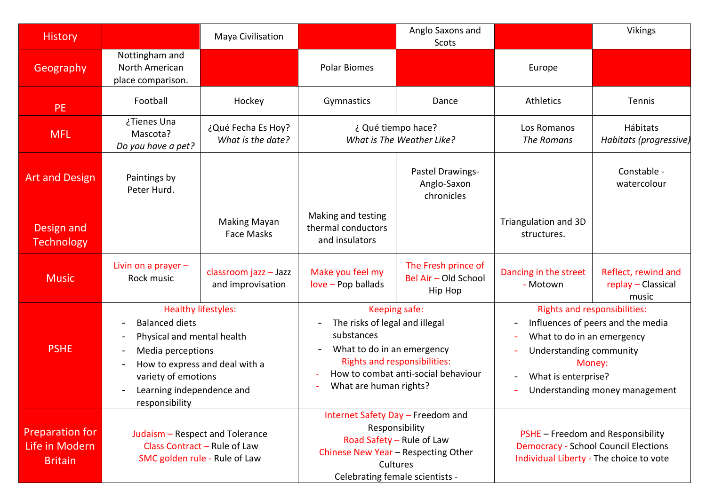| <b>History</b>                                      |                                                                                                                                                                                                                              | Maya Civilisation                                                                                |                                                                                                                                                                        | Anglo Saxons and<br>Scots                              |                                                                                                                                                                                                      | Vikings                                            |  |
|-----------------------------------------------------|------------------------------------------------------------------------------------------------------------------------------------------------------------------------------------------------------------------------------|--------------------------------------------------------------------------------------------------|------------------------------------------------------------------------------------------------------------------------------------------------------------------------|--------------------------------------------------------|------------------------------------------------------------------------------------------------------------------------------------------------------------------------------------------------------|----------------------------------------------------|--|
| Geography                                           | Nottingham and<br>North American<br>place comparison.                                                                                                                                                                        |                                                                                                  | <b>Polar Biomes</b>                                                                                                                                                    |                                                        | Europe                                                                                                                                                                                               |                                                    |  |
| <b>PE</b>                                           | Football                                                                                                                                                                                                                     | Hockey                                                                                           | Gymnastics                                                                                                                                                             | Dance                                                  | Athletics                                                                                                                                                                                            | Tennis                                             |  |
| <b>MFL</b>                                          | ¿Tienes Una<br>Mascota?<br>Do you have a pet?                                                                                                                                                                                | ¿Qué Fecha Es Hoy?<br>What is the date?                                                          | ¿ Qué tiempo hace?<br>What is The Weather Like?                                                                                                                        |                                                        | Los Romanos<br>The Romans                                                                                                                                                                            | Hábitats<br>Habitats (progressive)                 |  |
| <b>Art and Design</b>                               | Paintings by<br>Peter Hurd.                                                                                                                                                                                                  |                                                                                                  |                                                                                                                                                                        | Pastel Drawings-<br>Anglo-Saxon<br>chronicles          |                                                                                                                                                                                                      | Constable -<br>watercolour                         |  |
| Design and<br><b>Technology</b>                     |                                                                                                                                                                                                                              | <b>Making Mayan</b><br><b>Face Masks</b>                                                         | Making and testing<br>thermal conductors<br>and insulators                                                                                                             |                                                        | Triangulation and 3D<br>structures.                                                                                                                                                                  |                                                    |  |
| <b>Music</b>                                        | Livin on a prayer $-$<br>Rock music                                                                                                                                                                                          | classroom jazz - Jazz<br>and improvisation                                                       | Make you feel my<br>love - Pop ballads                                                                                                                                 | The Fresh prince of<br>Bel Air - Old School<br>Hip Hop | Dancing in the street<br>- Motown                                                                                                                                                                    | Reflect, rewind and<br>replay - Classical<br>music |  |
| <b>PSHE</b>                                         | <b>Balanced diets</b><br>Physical and mental health<br>$\overline{\phantom{a}}$<br>Media perceptions<br>$\qquad \qquad \blacksquare$<br>$\blacksquare$<br>variety of emotions<br>Learning independence and<br>responsibility | <b>Healthy lifestyles:</b><br>How to express and deal with a                                     | Keeping safe:<br>The risks of legal and illegal<br>substances<br>What to do in an emergency<br><b>Rights and responsibilities:</b><br>What are human rights?           | How to combat anti-social behaviour                    | <b>Rights and responsibilities:</b><br>Influences of peers and the media<br>What to do in an emergency<br>Understanding community<br>Money:<br>What is enterprise?<br>Understanding money management |                                                    |  |
| Preparation for<br>Life in Modern<br><b>Britain</b> |                                                                                                                                                                                                                              | Judaism - Respect and Tolerance<br>Class Contract - Rule of Law<br>SMC golden rule - Rule of Law | Internet Safety Day - Freedom and<br>Responsibility<br>Road Safety - Rule of Law<br>Chinese New Year - Respecting Other<br>Cultures<br>Celebrating female scientists - |                                                        | PSHE - Freedom and Responsibility<br><b>Democracy - School Council Elections</b><br>Individual Liberty - The choice to vote                                                                          |                                                    |  |